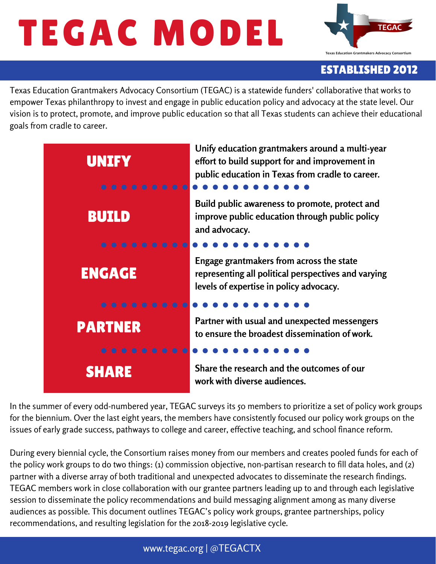# TEGAC MODEL



# ESTABLISHED 2012

Texas Education Grantmakers Advocacy Consortium (TEGAC) is a statewide funders' collaborative that works to empower Texas philanthropy to invest and engage in public education policy and advocacy at the state level. Our vision is to protect, promote, and improve public education so that all Texas students can achieve their educational goals from cradle to career.



In the summer of every odd-numbered year, TEGAC surveys its 50 members to prioritize a set of policy work groups for the biennium. Over the last eight years, the members have consistently focused our policy work groups on the issues of early grade success, pathways to college and career, effective teaching, and school finance reform.

During every biennial cycle, the Consortium raises money from our members and creates pooled funds for each of the policy work groups to do two things: (1) commission objective, non-partisan research to fill data holes, and (2) partner with a diverse array of both traditional and unexpected advocates to disseminate the research findings. TEGAC members work in close collaboration with our grantee partners leading up to and through each legislative session to disseminate the policy recommendations and build messaging alignment among as many diverse audiences as possible. This document outlines TEGAC's policy work groups, grantee partnerships, policy recommendations, and resulting legislation for the 2018-2019 legislative cycle.

## www.tegac.org | @TEGACTX